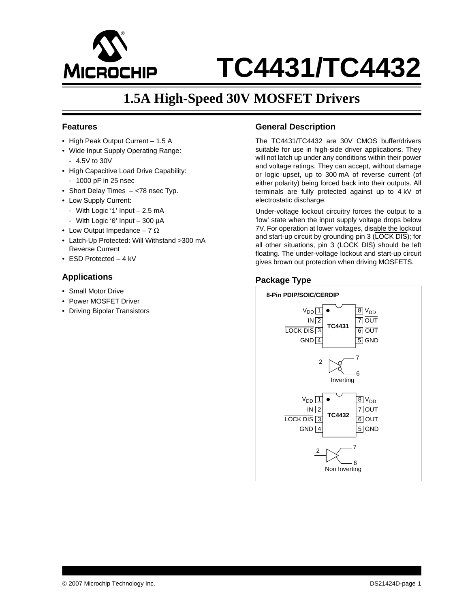

# **TC4431/TC4432**

## **1.5A High-Speed 30V MOSFET Drivers**

## **Features**

- High Peak Output Current 1.5 A
- Wide Input Supply Operating Range: - 4.5V to 30V
- High Capacitive Load Drive Capability:
	- 1000 pF in 25 nsec
- Short Delay Times  $-$  <78 nsec Typ.
- Low Supply Current:
	- With Logic '1' Input 2.5 mA
	- With Logic '0' Input 300 µA
- Low Output Impedance 7  $\Omega$
- Latch-Up Protected: Will Withstand >300 mA Reverse Current
- ESD Protected 4 kV

## **Applications**

- Small Motor Drive
- Power MOSFET Driver
- Driving Bipolar Transistors

### **General Description**

The TC4431/TC4432 are 30V CMOS buffer/drivers suitable for use in high-side driver applications. They will not latch up under any conditions within their power and voltage ratings. They can accept, without damage or logic upset, up to 300 mA of reverse current (of either polarity) being forced back into their outputs. All terminals are fully protected against up to 4 kV of electrostatic discharge.

Under-voltage lockout circuitry forces the output to a 'low' state when the input supply voltage drops below 7V. For operation at lower voltages, disable the lockout and start-up circuit by grounding pin 3 (LOCK DIS); for all other situations, pin 3 (LOCK DIS) should be left floating. The under-voltage lockout and start-up circuit gives brown out protection when driving MOSFETS.

## **Package Type**

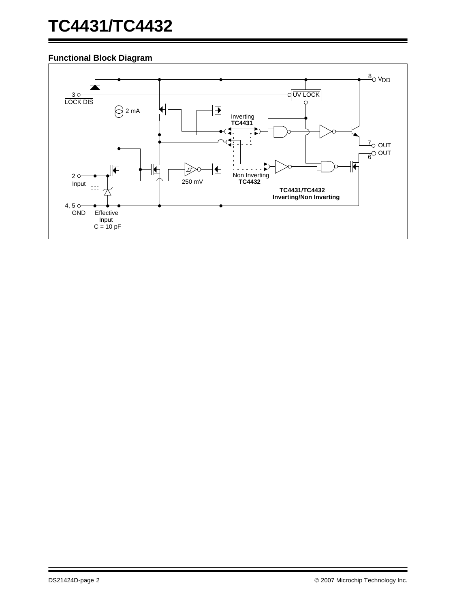## **Functional Block Diagram**

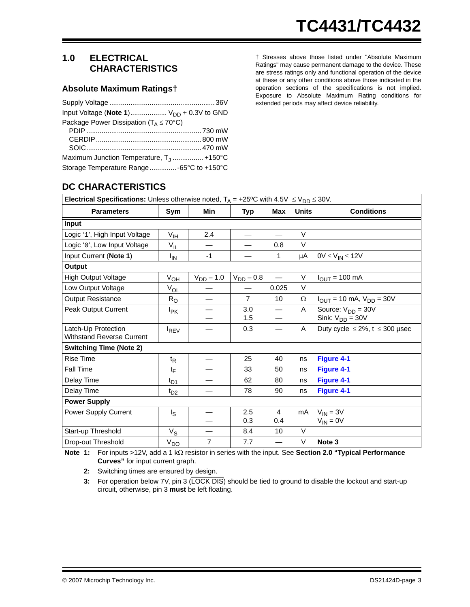## <span id="page-2-3"></span>**1.0 ELECTRICAL CHARACTERISTICS**

## **Absolute Maximum Ratings†**

| Input Voltage (Note 1) $V_{DD}$ + 0.3V to GND        |  |
|------------------------------------------------------|--|
| Package Power Dissipation ( $T_A \leq 70^{\circ}$ C) |  |
|                                                      |  |
|                                                      |  |
|                                                      |  |
| Maximum Junction Temperature, T <sub>J</sub> +150°C  |  |
| Storage Temperature Range -65°C to +150°C            |  |

† Stresses above those listed under "Absolute Maximum Ratings" may cause permanent damage to the device. These are stress ratings only and functional operation of the device at these or any other conditions above those indicated in the operation sections of the specifications is not implied. Exposure to Absolute Maximum Rating conditions for extended periods may affect device reliability.

## **DC CHARACTERISTICS**

| <b>Electrical Specifications:</b> Unless otherwise noted, $T_A = +25^{\circ}C$ with $4.5V \le V_{DD} \le 30V$ . |                  |                |                |       |              |                                                       |  |  |  |
|-----------------------------------------------------------------------------------------------------------------|------------------|----------------|----------------|-------|--------------|-------------------------------------------------------|--|--|--|
| <b>Parameters</b>                                                                                               | Sym              | Min            | <b>Typ</b>     | Max   | <b>Units</b> | <b>Conditions</b>                                     |  |  |  |
| Input                                                                                                           |                  |                |                |       |              |                                                       |  |  |  |
| Logic '1', High Input Voltage                                                                                   | $V_{\text{IH}}$  | 2.4            |                |       | $\vee$       |                                                       |  |  |  |
| Logic '0', Low Input Voltage                                                                                    | $V_{IL}$         |                |                | 0.8   | $\vee$       |                                                       |  |  |  |
| Input Current (Note 1)                                                                                          | ΙW               | $-1$           |                | 1     | μA           | $0V \leq V_{IN} \leq 12V$                             |  |  |  |
| Output                                                                                                          |                  |                |                |       |              |                                                       |  |  |  |
| <b>High Output Voltage</b>                                                                                      | $V_{OH}$         | $V_{DD} - 1.0$ | $V_{DD} - 0.8$ |       | V            | $I_{\text{OUT}} = 100 \text{ mA}$                     |  |  |  |
| Low Output Voltage                                                                                              | $V_{OL}$         |                |                | 0.025 | V            |                                                       |  |  |  |
| <b>Output Resistance</b>                                                                                        | $R_{\rm O}$      |                | $\overline{7}$ | 10    | $\Omega$     | $I_{\text{OUT}} = 10 \text{ mA}, V_{\text{DD}} = 30V$ |  |  |  |
| Peak Output Current                                                                                             | $I_{PK}$         |                | 3.0            |       | A            | Source: $V_{DD} = 30V$                                |  |  |  |
|                                                                                                                 |                  |                | 1.5            |       |              | Sink: $V_{DD} = 30V$                                  |  |  |  |
| Latch-Up Protection<br><b>Withstand Reverse Current</b>                                                         | <b>I</b> REV     |                | 0.3            |       | A            | Duty cycle $\leq 2\%$ , t $\leq 300$ µsec             |  |  |  |
| <b>Switching Time (Note 2)</b>                                                                                  |                  |                |                |       |              |                                                       |  |  |  |
| <b>Rise Time</b>                                                                                                | $t_{\mathsf{R}}$ |                | 25             | 40    | ns           | Figure 4-1                                            |  |  |  |
| Fall Time                                                                                                       | tF               |                | 33             | 50    | ns           | Figure 4-1                                            |  |  |  |
| Delay Time                                                                                                      | $t_{D1}$         |                | 62             | 80    | ns           | Figure 4-1                                            |  |  |  |
| Delay Time                                                                                                      | $t_{D2}$         |                | 78             | 90    | ns           | Figure 4-1                                            |  |  |  |
| <b>Power Supply</b>                                                                                             |                  |                |                |       |              |                                                       |  |  |  |
| Power Supply Current                                                                                            | $I_{\rm S}$      |                | 2.5            | 4     | mA           | $V_{IN} = 3V$                                         |  |  |  |
|                                                                                                                 |                  |                | 0.3            | 0.4   |              | $V_{IN} = 0V$                                         |  |  |  |
| Start-up Threshold                                                                                              | $V_{S}$          | —              | 8.4            | 10    | V            |                                                       |  |  |  |
| Drop-out Threshold                                                                                              | $V_{\text{DO}}$  | $\overline{7}$ | 7.7            |       | V            | Note <sub>3</sub>                                     |  |  |  |

<span id="page-2-1"></span><span id="page-2-0"></span>**Note 1:** For inputs >12V, add a 1 kΩ resistor in series with the input. See **[Section 2.0 "Typical Performance](#page-4-0)  [Curves"](#page-4-0)** for input current graph.

**2:** Switching times are ensured by design.

<span id="page-2-2"></span>**3:** For operation below 7V, pin 3 (LOCK DIS) should be tied to ground to disable the lockout and start-up circuit, otherwise, pin 3 **must** be left floating.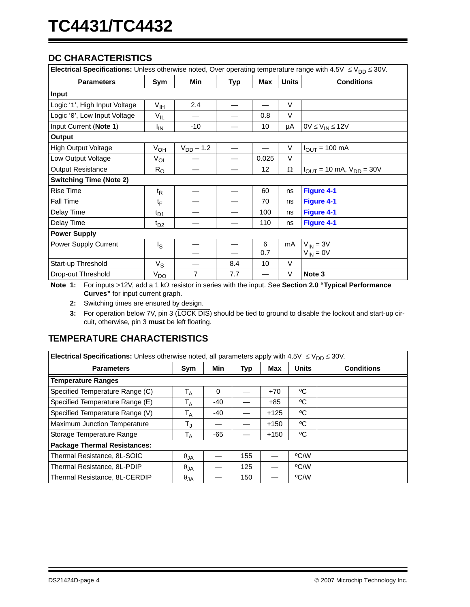## **DC CHARACTERISTICS**

| Electrical Specifications: Unless otherwise noted, Over operating temperature range with $4.5V \le V_{DD} \le 30V$ . |                  |                |            |            |              |                                                                   |  |  |  |  |
|----------------------------------------------------------------------------------------------------------------------|------------------|----------------|------------|------------|--------------|-------------------------------------------------------------------|--|--|--|--|
| <b>Parameters</b>                                                                                                    | Sym              | <b>Min</b>     | <b>Typ</b> | <b>Max</b> | <b>Units</b> | <b>Conditions</b>                                                 |  |  |  |  |
| Input                                                                                                                |                  |                |            |            |              |                                                                   |  |  |  |  |
| Logic '1', High Input Voltage                                                                                        | $V_{\text{IH}}$  | 2.4            |            |            | V            |                                                                   |  |  |  |  |
| Logic '0', Low Input Voltage                                                                                         | $V_{IL}$         |                |            | 0.8        | $\vee$       |                                                                   |  |  |  |  |
| Input Current (Note 1)                                                                                               | <sup>I</sup> IN  | $-10$          |            | 10         | μA           | $0V \leq V_{IN} \leq 12V$                                         |  |  |  |  |
| Output                                                                                                               |                  |                |            |            |              |                                                                   |  |  |  |  |
| <b>High Output Voltage</b>                                                                                           | $V_{OH}$         | $V_{DD} - 1.2$ |            |            | V            | $I_{OUT} = 100 \text{ mA}$                                        |  |  |  |  |
| Low Output Voltage                                                                                                   | $V_{OL}$         |                |            | 0.025      | $\vee$       |                                                                   |  |  |  |  |
| <b>Output Resistance</b>                                                                                             | $R_{\rm O}$      |                |            | 12         | Ω            | $I_{\text{OUT}} = 10 \text{ mA}$ , $V_{\text{DD}} = 30 \text{ V}$ |  |  |  |  |
| <b>Switching Time (Note 2)</b>                                                                                       |                  |                |            |            |              |                                                                   |  |  |  |  |
| <b>Rise Time</b>                                                                                                     | $t_{\mathsf{R}}$ |                |            | 60         | ns           | Figure 4-1                                                        |  |  |  |  |
| Fall Time                                                                                                            | tF               |                |            | 70         | ns           | Figure 4-1                                                        |  |  |  |  |
| Delay Time                                                                                                           | $t_{D1}$         |                |            | 100        | ns           | Figure 4-1                                                        |  |  |  |  |
| Delay Time                                                                                                           | $t_{D2}$         |                |            | 110        | ns           | Figure 4-1                                                        |  |  |  |  |
| <b>Power Supply</b>                                                                                                  |                  |                |            |            |              |                                                                   |  |  |  |  |
| <b>Power Supply Current</b>                                                                                          | l <sub>S</sub>   |                |            | 6          | mA           | $V_{IN} = 3V$                                                     |  |  |  |  |
|                                                                                                                      |                  |                |            | 0.7        |              | $V_{IN} = 0V$                                                     |  |  |  |  |
| Start-up Threshold                                                                                                   | $V_S$            |                | 8.4        | 10         | V            |                                                                   |  |  |  |  |
| Drop-out Threshold                                                                                                   | V <sub>DO</sub>  | $\overline{7}$ | 7.7        |            | V            | Note 3                                                            |  |  |  |  |

<span id="page-3-1"></span><span id="page-3-0"></span>**Note 1:** For inputs >12V, add a 1 kΩ resistor in series with the input. See **[Section 2.0 "Typical Performance](#page-4-0)  [Curves"](#page-4-0)** for input current graph.

**2:** Switching times are ensured by design.

<span id="page-3-2"></span>**3:** For operation below 7V, pin 3 (LOCK DIS) should be tied to ground to disable the lockout and start-up circuit, otherwise, pin 3 **must** be left floating.

## **TEMPERATURE CHARACTERISTICS**

| <b>Electrical Specifications:</b> Unless otherwise noted, all parameters apply with 4.5V $\leq$ V <sub>DD</sub> $\leq$ 30V. |                         |          |     |        |              |                   |  |  |
|-----------------------------------------------------------------------------------------------------------------------------|-------------------------|----------|-----|--------|--------------|-------------------|--|--|
| <b>Parameters</b>                                                                                                           | Sym                     | Min      | Typ | Max    | <b>Units</b> | <b>Conditions</b> |  |  |
| <b>Temperature Ranges</b>                                                                                                   |                         |          |     |        |              |                   |  |  |
| Specified Temperature Range (C)                                                                                             | $T_A$                   | $\Omega$ |     | $+70$  | °C           |                   |  |  |
| Specified Temperature Range (E)                                                                                             | $\mathsf{T}_\mathsf{A}$ | $-40$    |     | $+85$  | °C           |                   |  |  |
| Specified Temperature Range (V)                                                                                             | T <sub>A</sub>          | -40      |     | $+125$ | °C           |                   |  |  |
| Maximum Junction Temperature                                                                                                | $T_{\rm J}$             |          |     | $+150$ | °C           |                   |  |  |
| Storage Temperature Range                                                                                                   | T <sub>A</sub>          | $-65$    |     | $+150$ | °C           |                   |  |  |
| <b>Package Thermal Resistances:</b>                                                                                         |                         |          |     |        |              |                   |  |  |
| Thermal Resistance, 8L-SOIC                                                                                                 | $\theta_{JA}$           |          | 155 |        | °C/W         |                   |  |  |
| Thermal Resistance, 8L-PDIP                                                                                                 | $\theta_{JA}$           |          | 125 |        | °C/W         |                   |  |  |
| Thermal Resistance, 8L-CERDIP                                                                                               | $\theta_{JA}$           |          | 150 |        | °C/W         |                   |  |  |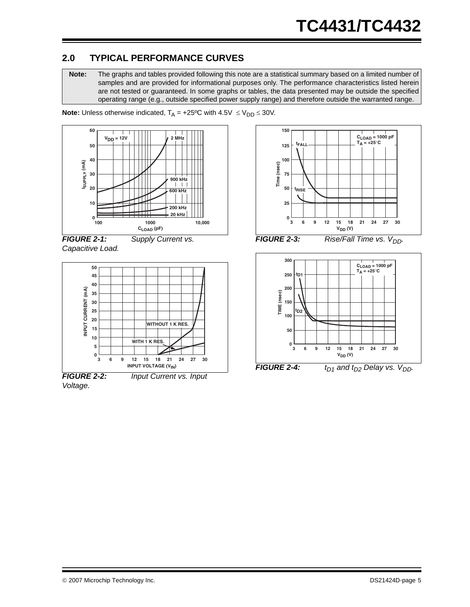## <span id="page-4-0"></span>**2.0 TYPICAL PERFORMANCE CURVES**

**Note:** The graphs and tables provided following this note are a statistical summary based on a limited number of samples and are provided for informational purposes only. The performance characteristics listed herein are not tested or guaranteed. In some graphs or tables, the data presented may be outside the specified operating range (e.g., outside specified power supply range) and therefore outside the warranted range.

**Note:** Unless otherwise indicated,  $T_A = +25^{\circ}C$  with  $4.5V \le V_{DD} \le 30V$ .



*FIGURE 2-1: Supply Current vs. Capacitive Load.*



*FIGURE 2-2: Input Current vs. Input Voltage.*



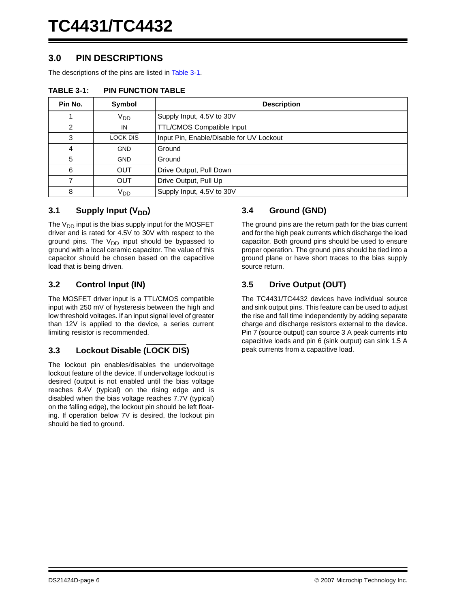## **3.0 PIN DESCRIPTIONS**

The descriptions of the pins are listed in [Table 3-1.](#page-5-0)

| Pin No. | Symbol          | <b>Description</b>                       |
|---------|-----------------|------------------------------------------|
|         | V <sub>DD</sub> | Supply Input, 4.5V to 30V                |
| 2       | IN              | TTL/CMOS Compatible Input                |
| 3       | <b>LOCK DIS</b> | Input Pin, Enable/Disable for UV Lockout |
| 4       | <b>GND</b>      | Ground                                   |
| 5       | <b>GND</b>      | Ground                                   |
| 6       | <b>OUT</b>      | Drive Output, Pull Down                  |
|         | <b>OUT</b>      | Drive Output, Pull Up                    |
| 8       | V <sub>DD</sub> | Supply Input, 4.5V to 30V                |

## <span id="page-5-0"></span>**TABLE 3-1: PIN FUNCTION TABLE**

## **3.1** Supply Input (V<sub>DD</sub>)

The  $V_{DD}$  input is the bias supply input for the MOSFET driver and is rated for 4.5V to 30V with respect to the ground pins. The  $V_{DD}$  input should be bypassed to ground with a local ceramic capacitor. The value of this capacitor should be chosen based on the capacitive load that is being driven.

## **3.2 Control Input (IN)**

The MOSFET driver input is a TTL/CMOS compatible input with 250 mV of hysteresis between the high and low threshold voltages. If an input signal level of greater than 12V is applied to the device, a series current limiting resistor is recommended.

## **3.3 Lockout Disable (LOCK DIS)**

The lockout pin enables/disables the undervoltage lockout feature of the device. If undervoltage lockout is desired (output is not enabled until the bias voltage reaches 8.4V (typical) on the rising edge and is disabled when the bias voltage reaches 7.7V (typical) on the falling edge), the lockout pin should be left floating. If operation below 7V is desired, the lockout pin should be tied to ground.

## **3.4 Ground (GND)**

The ground pins are the return path for the bias current and for the high peak currents which discharge the load capacitor. Both ground pins should be used to ensure proper operation. The ground pins should be tied into a ground plane or have short traces to the bias supply source return.

## **3.5 Drive Output (OUT)**

The TC4431/TC4432 devices have individual source and sink output pins. This feature can be used to adjust the rise and fall time independently by adding separate charge and discharge resistors external to the device. Pin 7 (source output) can source 3 A peak currents into capacitive loads and pin 6 (sink output) can sink 1.5 A peak currents from a capacitive load.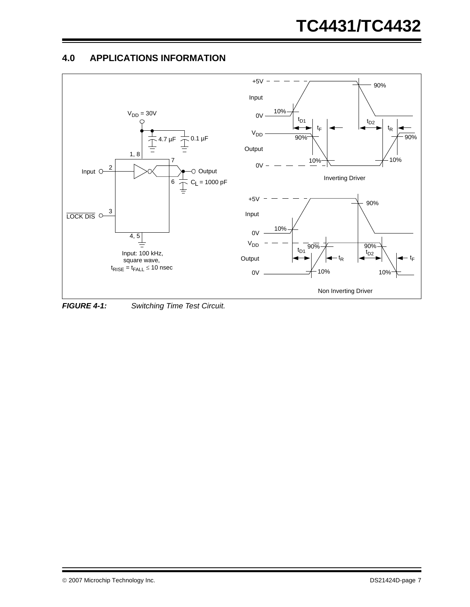## **4.0 APPLICATIONS INFORMATION**



<span id="page-6-0"></span>*FIGURE 4-1: Switching Time Test Circuit.*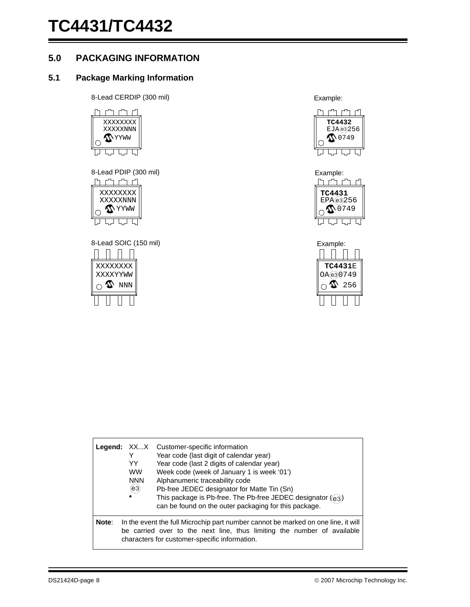## **5.0 PACKAGING INFORMATION**

## **5.1 Package Marking Information**

8-Lead CERDIP (300 mil) Example:



8-Lead PDIP (300 mil) **Example:** 



8-Lead SOIC (150 mil) Example:









|       | YY<br><b>WW</b><br><b>NNN</b><br>(e3)<br>$\ast$ | <b>Legend:</b> XXX Customer-specific information<br>Year code (last digit of calendar year)<br>Year code (last 2 digits of calendar year)<br>Week code (week of January 1 is week '01')<br>Alphanumeric traceability code<br>Pb-free JEDEC designator for Matte Tin (Sn)<br>This package is Pb-free. The Pb-free JEDEC designator (e3)<br>can be found on the outer packaging for this package. |
|-------|-------------------------------------------------|-------------------------------------------------------------------------------------------------------------------------------------------------------------------------------------------------------------------------------------------------------------------------------------------------------------------------------------------------------------------------------------------------|
| Note: |                                                 | In the event the full Microchip part number cannot be marked on one line, it will<br>be carried over to the next line, thus limiting the number of available<br>characters for customer-specific information.                                                                                                                                                                                   |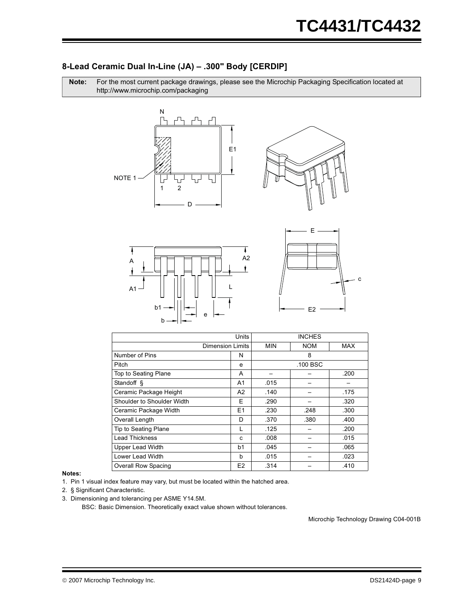## 8-Lead Ceramic Dual In-Line (JA) - .300" Body [CERDIP]

Note: For the most current package drawings, please see the Microchip Packaging Specification located at http://www.microchip.com/packaging







|                            | Units          |            |            |            |
|----------------------------|----------------|------------|------------|------------|
| <b>Dimension Limits</b>    |                | <b>MIN</b> | <b>NOM</b> | <b>MAX</b> |
| Number of Pins             | N              |            | 8          |            |
| Pitch                      | e              |            | .100 BSC   |            |
| Top to Seating Plane       | A              |            |            | .200       |
| Standoff §                 | A1             | .015       |            |            |
| Ceramic Package Height     | A2             | .140       |            | .175       |
| Shoulder to Shoulder Width | E              | .290       |            | .320       |
| Ceramic Package Width      | E <sub>1</sub> | .230       | .248       | .300       |
| Overall Length             | D              | .370       | .380       | .400       |
| Tip to Seating Plane       |                | .125       |            | .200       |
| <b>Lead Thickness</b>      | C              | .008       |            | .015       |
| <b>Upper Lead Width</b>    | b1             | .045       |            | .065       |
| Lower Lead Width           | b              | .015       |            | .023       |
| <b>Overall Row Spacing</b> | E <sub>2</sub> | .314       |            | .410       |

#### Notes:

- 1. Pin 1 visual index feature may vary, but must be located within the hatched area.
- 2. § Significant Characteristic.
- 3. Dimensioning and tolerancing per ASME Y14.5M.

BSC: Basic Dimension. Theoretically exact value shown without tolerances.

Microchip Technology Drawing C04-001B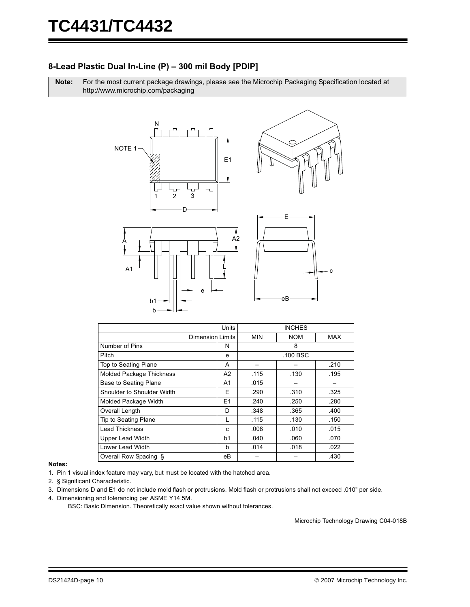## 8-Lead Plastic Dual In-Line (P) - 300 mil Body [PDIP]

For the most current package drawings, please see the Microchip Packaging Specification located at Note: http://www.microchip.com/packaging



|                                 | Units          |            |            | <b>INCHES</b> |  |  |
|---------------------------------|----------------|------------|------------|---------------|--|--|
| <b>Dimension Limits</b>         |                | <b>MIN</b> | <b>NOM</b> | MAX           |  |  |
| Number of Pins                  | N              |            | 8          |               |  |  |
| Pitch                           | e              |            | .100 BSC   |               |  |  |
| Top to Seating Plane            | A              |            |            | .210          |  |  |
| <b>Molded Package Thickness</b> | A <sub>2</sub> | .115       | .130       | .195          |  |  |
| Base to Seating Plane           | A1             | .015       |            |               |  |  |
| Shoulder to Shoulder Width      | E              | .290       | .310       | .325          |  |  |
| Molded Package Width            | E <sub>1</sub> | .240       | .250       | .280          |  |  |
| Overall Length                  | D              | .348       | .365       | .400          |  |  |
| Tip to Seating Plane            | L              | .115       | .130       | .150          |  |  |
| <b>Lead Thickness</b>           | C              | .008       | .010       | .015          |  |  |
| Upper Lead Width                | b1             | .040       | .060       | .070          |  |  |
| Lower Lead Width                | b              | .014       | .018       | .022          |  |  |
| Overall Row Spacing §           | eВ             |            |            | .430          |  |  |

#### Notes:

- 1. Pin 1 visual index feature may vary, but must be located with the hatched area.
- 2. § Significant Characteristic.
- 3. Dimensions D and E1 do not include mold flash or protrusions. Mold flash or protrusions shall not exceed .010" per side.
- 4. Dimensioning and tolerancing per ASME Y14.5M.

BSC: Basic Dimension. Theoretically exact value shown without tolerances.

Microchip Technology Drawing C04-018B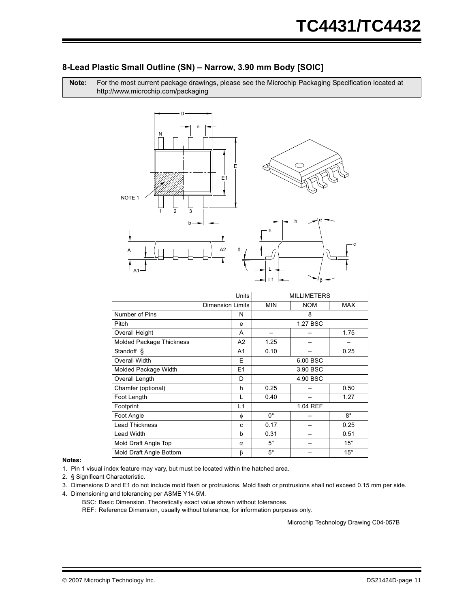## 8-Lead Plastic Small Outline (SN) - Narrow, 3.90 mm Body [SOIC]

Note: For the most current package drawings, please see the Microchip Packaging Specification located at http://www.microchip.com/packaging



|                                 | <b>MILLIMETERS</b>      |             |            |              |
|---------------------------------|-------------------------|-------------|------------|--------------|
|                                 | <b>Dimension Limits</b> | <b>MIN</b>  | <b>NOM</b> | <b>MAX</b>   |
| Number of Pins                  | N                       |             | 8          |              |
| Pitch                           | e                       |             | 1.27 BSC   |              |
| Overall Height                  | A                       |             |            | 1.75         |
| <b>Molded Package Thickness</b> | A <sub>2</sub>          | 1.25        |            |              |
| Standoff §                      | A1                      | 0.10        |            | 0.25         |
| Overall Width                   | Ε                       | 6.00 BSC    |            |              |
| Molded Package Width            | E <sub>1</sub>          | 3.90 BSC    |            |              |
| Overall Length                  | D                       | 4.90 BSC    |            |              |
| Chamfer (optional)              | h                       | 0.25        |            | 0.50         |
| Foot Length                     | L                       | 0.40        |            | 1.27         |
| Footprint                       | L1                      |             | 1.04 REF   |              |
| Foot Angle                      | φ                       | $0^{\circ}$ |            | $8^{\circ}$  |
| <b>Lead Thickness</b>           | C                       | 0.17        |            | 0.25         |
| Lead Width                      | b                       | 0.31        |            | 0.51         |
| Mold Draft Angle Top            | $\alpha$                | $5^{\circ}$ |            | $15^{\circ}$ |
| Mold Draft Angle Bottom         | β                       | $5^\circ$   |            | $15^{\circ}$ |

#### Notes:

1. Pin 1 visual index feature may vary, but must be located within the hatched area.

2. § Significant Characteristic.

3. Dimensions D and E1 do not include mold flash or protrusions. Mold flash or protrusions shall not exceed 0.15 mm per side.

- 4. Dimensioning and tolerancing per ASME Y14.5M.
	- BSC: Basic Dimension. Theoretically exact value shown without tolerances.

REF: Reference Dimension, usually without tolerance, for information purposes only.

Microchip Technology Drawing C04-057B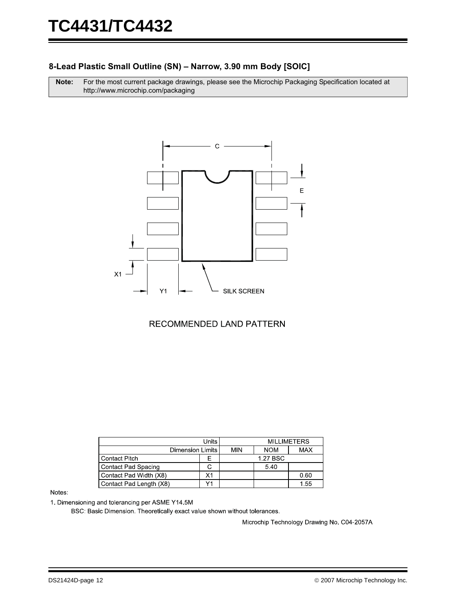## 8-Lead Plastic Small Outline (SN) - Narrow, 3.90 mm Body [SOIC]

For the most current package drawings, please see the Microchip Packaging Specification located at Note: http://www.microchip.com/packaging



#### RECOMMENDED LAND PATTERN

|                         |    |            | <b>MILLIMETERS</b> |            |
|-------------------------|----|------------|--------------------|------------|
| Dimension Limits        |    | <b>MIN</b> | <b>NOM</b>         | <b>MAX</b> |
| <b>Contact Pitch</b>    | ⊢  |            | 1.27 BSC           |            |
| Contact Pad Spacing     | ι. |            | 5.40               |            |
| Contact Pad Width (X8)  | Х1 |            |                    | 0.60       |
| Contact Pad Length (X8) |    |            |                    | 1.55       |

#### Notes:

1. Dimensioning and tolerancing per ASME Y14.5M

BSC: Basic Dimension. Theoretically exact value shown without tolerances.

Microchip Technology Drawing No. C04-2057A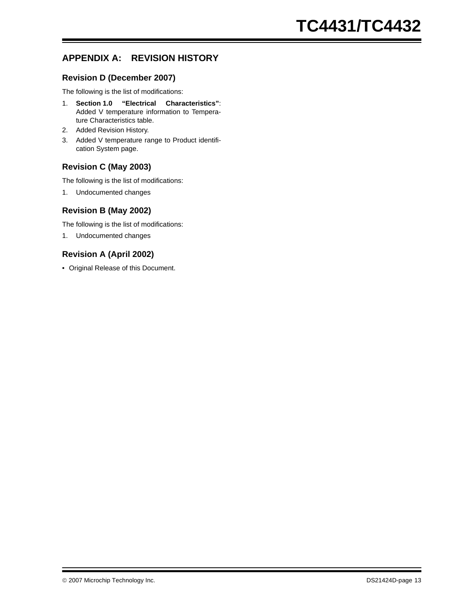## **APPENDIX A: REVISION HISTORY**

## **Revision D (December 2007)**

The following is the list of modifications:

- 1. **[Section 1.0 "Electrical Characteristics"](#page-2-3)**: Added V temperature information to Temperature Characteristics table.
- 2. Added Revision History.
- 3. Added V temperature range to Product identification System page.

## **Revision C (May 2003)**

The following is the list of modifications:

1. Undocumented changes

## **Revision B (May 2002)**

The following is the list of modifications:

1. Undocumented changes

## **Revision A (April 2002)**

• Original Release of this Document.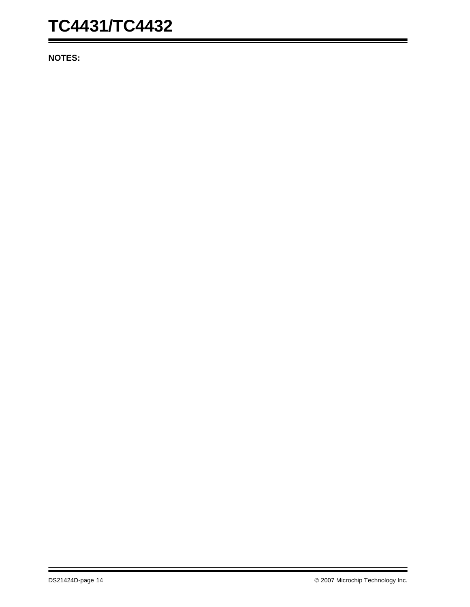## **TC4431/TC4432**

**NOTES:**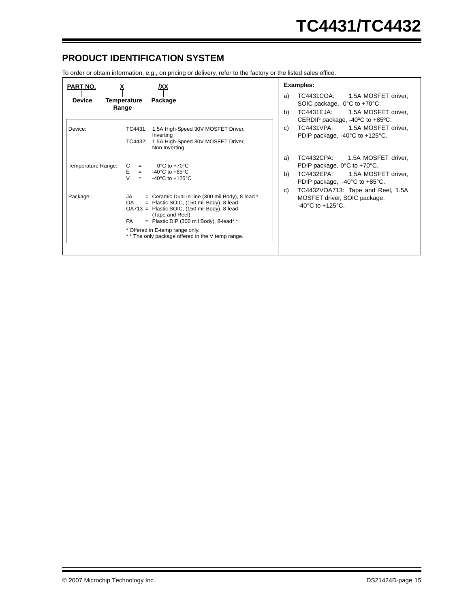## **PRODUCT IDENTIFICATION SYSTEM**

To order or obtain information, e.g., on pricing or delivery, refer to the factory or the listed sales office.

| PART NO.<br><b>Device</b>      | /XX<br>Temperature<br>Package<br>Range                                                                                                                                                                                                                                                                                                                                                                                                                          | <b>Examples:</b><br>TC4431COA: 1.5A MOSFET driver.<br>a)<br>SOIC package, 0°C to +70°C.<br>TC4431EJA: 1.5A MOSFET driver,<br>b)<br>CERDIP package, -40°C to +85°C.                                                                                              |
|--------------------------------|-----------------------------------------------------------------------------------------------------------------------------------------------------------------------------------------------------------------------------------------------------------------------------------------------------------------------------------------------------------------------------------------------------------------------------------------------------------------|-----------------------------------------------------------------------------------------------------------------------------------------------------------------------------------------------------------------------------------------------------------------|
| Device:                        | TC4431: 1.5A High-Speed 30V MOSFET Driver,<br>Inverting<br>1.5A High-Speed 30V MOSFET Driver,<br>TC4432:<br>Non Inverting                                                                                                                                                                                                                                                                                                                                       | TC4431VPA: 1.5A MOSFET driver,<br>C)<br>PDIP package, -40°C to +125°C.                                                                                                                                                                                          |
| Temperature Range:<br>Package: | $0^{\circ}$ C to +70 $^{\circ}$ C<br>С<br>$=$<br>Ε<br>$= 40^{\circ}$ C to +85 $^{\circ}$ C<br>$-40^{\circ}$ C to $+125^{\circ}$ C<br>$=$<br>= Ceramic Dual In-line (300 mil Body), 8-lead *<br>JA<br>= Plastic SOIC, (150 mil Body), 8-lead<br>OA.<br>OA713 = Plastic SOIC, (150 mil Body), 8-lead<br>(Tape and Reel)<br>PA<br>$=$ Plastic DIP (300 mil Body), 8-lead* *<br>* Offered in E-temp range only.<br>** The only package offered in the V temp range. | TC4432CPA: 1.5A MOSFET driver,<br>a)<br>PDIP package, 0°C to +70°C.<br>TC4432EPA: 1.5A MOSFET driver,<br>b)<br>PDIP package, -40°C to +85°C.<br>TC4432VOA713: Tape and Reel, 1.5A<br>C)<br>MOSFET driver, SOIC package,<br>$-40^{\circ}$ C to $+125^{\circ}$ C. |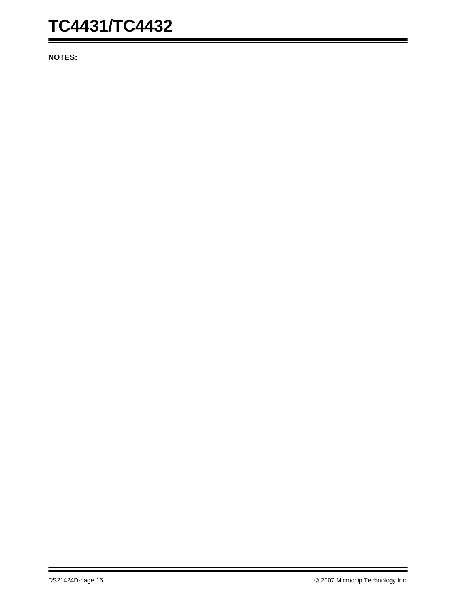## **TC4431/TC4432**

**NOTES:**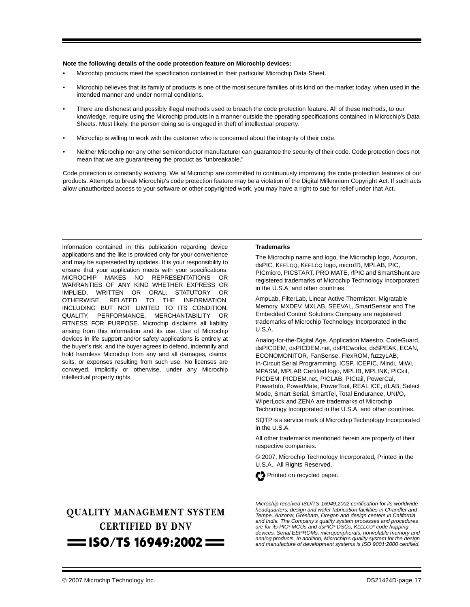#### **Note the following details of the code protection feature on Microchip devices:**

- Microchip products meet the specification contained in their particular Microchip Data Sheet.
- Microchip believes that its family of products is one of the most secure families of its kind on the market today, when used in the intended manner and under normal conditions.
- There are dishonest and possibly illegal methods used to breach the code protection feature. All of these methods, to our knowledge, require using the Microchip products in a manner outside the operating specifications contained in Microchip's Data Sheets. Most likely, the person doing so is engaged in theft of intellectual property.
- Microchip is willing to work with the customer who is concerned about the integrity of their code.
- Neither Microchip nor any other semiconductor manufacturer can guarantee the security of their code. Code protection does not mean that we are guaranteeing the product as "unbreakable."

Code protection is constantly evolving. We at Microchip are committed to continuously improving the code protection features of our products. Attempts to break Microchip's code protection feature may be a violation of the Digital Millennium Copyright Act. If such acts allow unauthorized access to your software or other copyrighted work, you may have a right to sue for relief under that Act.

Information contained in this publication regarding device applications and the like is provided only for your convenience and may be superseded by updates. It is your responsibility to ensure that your application meets with your specifications. MICROCHIP MAKES NO REPRESENTATIONS OR WARRANTIES OF ANY KIND WHETHER EXPRESS OR IMPLIED, WRITTEN OR ORAL, STATUTORY OR OTHERWISE, RELATED TO THE INFORMATION, INCLUDING BUT NOT LIMITED TO ITS CONDITION, QUALITY, PERFORMANCE, MERCHANTABILITY OR FITNESS FOR PURPOSE**.** Microchip disclaims all liability arising from this information and its use. Use of Microchip devices in life support and/or safety applications is entirely at the buyer's risk, and the buyer agrees to defend, indemnify and hold harmless Microchip from any and all damages, claims, suits, or expenses resulting from such use. No licenses are conveyed, implicitly or otherwise, under any Microchip intellectual property rights.

## **OUALITY MANAGEMENT SYSTEM CERTIFIED BY DNV**  $=$  ISO/TS 16949:2002  $=$

#### **Trademarks**

The Microchip name and logo, the Microchip logo, Accuron, dsPIC, KEELOQ, KEELOQ logo, microID, MPLAB, PIC, PICmicro, PICSTART, PRO MATE, rfPIC and SmartShunt are registered trademarks of Microchip Technology Incorporated in the U.S.A. and other countries.

AmpLab, FilterLab, Linear Active Thermistor, Migratable Memory, MXDEV, MXLAB, SEEVAL, SmartSensor and The Embedded Control Solutions Company are registered trademarks of Microchip Technology Incorporated in the U.S.A.

Analog-for-the-Digital Age, Application Maestro, CodeGuard, dsPICDEM, dsPICDEM.net, dsPICworks, dsSPEAK, ECAN, ECONOMONITOR, FanSense, FlexROM, fuzzyLAB, In-Circuit Serial Programming, ICSP, ICEPIC, Mindi, MiWi, MPASM, MPLAB Certified logo, MPLIB, MPLINK, PICkit, PICDEM, PICDEM.net, PICLAB, PICtail, PowerCal, PowerInfo, PowerMate, PowerTool, REAL ICE, rfLAB, Select Mode, Smart Serial, SmartTel, Total Endurance, UNI/O, WiperLock and ZENA are trademarks of Microchip Technology Incorporated in the U.S.A. and other countries.

SQTP is a service mark of Microchip Technology Incorporated in the U.S.A.

All other trademarks mentioned herein are property of their respective companies.

© 2007, Microchip Technology Incorporated, Printed in the U.S.A., All Rights Reserved.



Printed on recycled paper.

*Microchip received ISO/TS-16949:2002 certification for its worldwide headquarters, design and wafer fabrication facilities in Chandler and Tempe, Arizona; Gresham, Oregon and design centers in California and India. The Company's quality system processes and procedures are for its PIC® MCUs and dsPIC® DSCs, KEELOQ® code hopping devices, Serial EEPROMs, microperipherals, nonvolatile memory and analog products. In addition, Microchip's quality system for the design and manufacture of development systems is ISO 9001:2000 certified.*